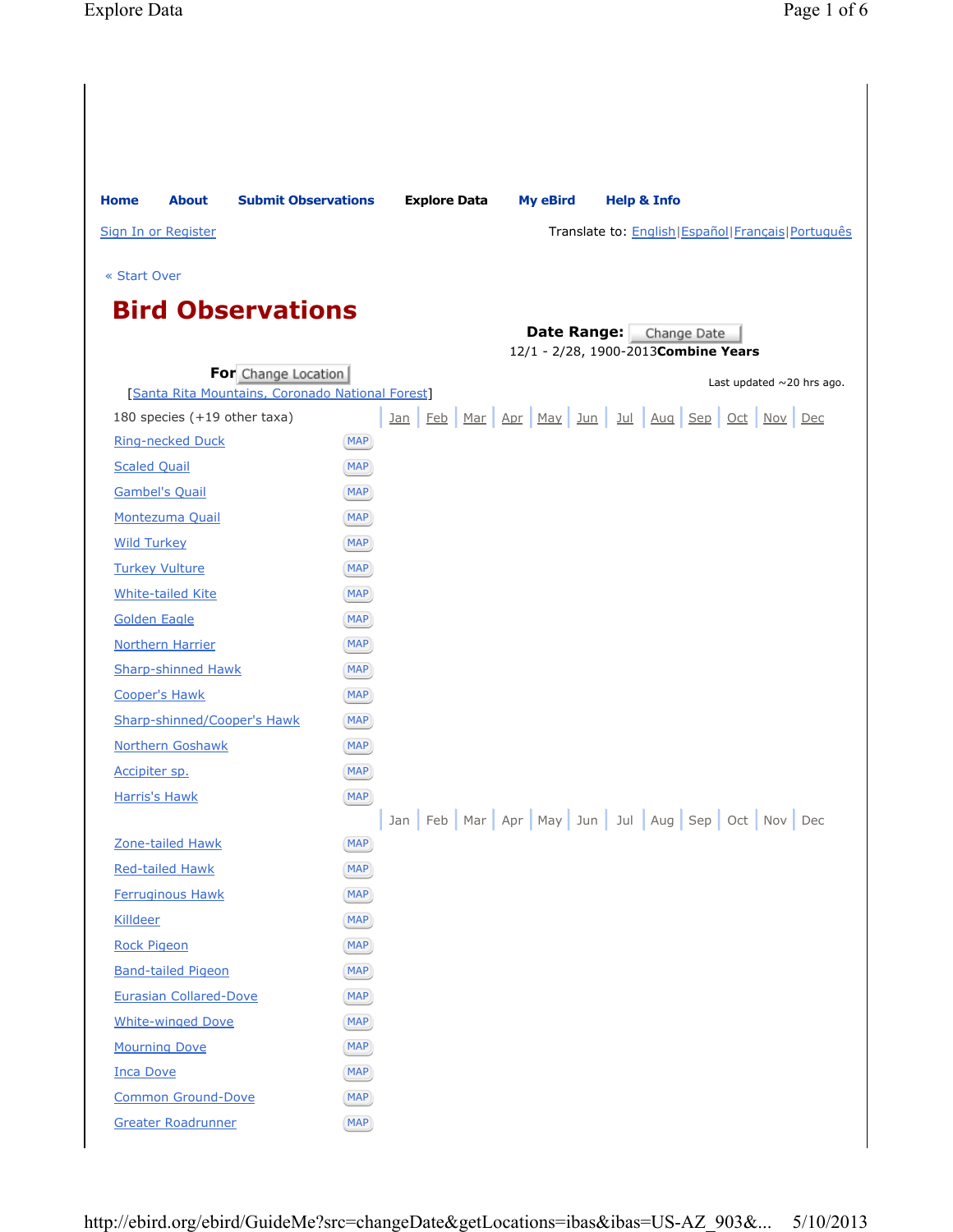| <b>Home</b>         | <b>About</b>                                      | <b>Submit Observations</b>                                              |                          | <b>Explore Data</b> | <b>My eBird</b> | <b>Help &amp; Info</b>                                 |
|---------------------|---------------------------------------------------|-------------------------------------------------------------------------|--------------------------|---------------------|-----------------|--------------------------------------------------------|
|                     | Sign In or Register                               |                                                                         |                          |                     |                 | Translate to: English   Español   Français   Português |
|                     |                                                   |                                                                         |                          |                     |                 |                                                        |
| « Start Over        |                                                   |                                                                         |                          |                     |                 |                                                        |
|                     |                                                   | <b>Bird Observations</b>                                                |                          |                     |                 |                                                        |
|                     |                                                   |                                                                         |                          |                     |                 | <b>Date Range:</b> Change Date                         |
|                     |                                                   |                                                                         |                          |                     |                 | 12/1 - 2/28, 1900-2013 Combine Years                   |
|                     |                                                   | For Change Location<br>[Santa Rita Mountains, Coronado National Forest] |                          |                     |                 | Last updated $\sim$ 20 hrs ago.                        |
|                     | 180 species (+19 other taxa)                      |                                                                         |                          |                     |                 | <u>Jan Feb Mar Apr May Jun Jul Aug Sep Oct Nov Dec</u> |
|                     | <b>Ring-necked Duck</b>                           |                                                                         | [MAP]                    |                     |                 |                                                        |
| <b>Scaled Quail</b> |                                                   |                                                                         | <b>MAP</b>               |                     |                 |                                                        |
|                     | <b>Gambel's Quail</b>                             |                                                                         | MAP                      |                     |                 |                                                        |
|                     | Montezuma Quail                                   |                                                                         | MAP                      |                     |                 |                                                        |
| <b>Wild Turkey</b>  |                                                   |                                                                         | MAP                      |                     |                 |                                                        |
|                     | <b>Turkey Vulture</b>                             |                                                                         | <b>MAP</b>               |                     |                 |                                                        |
|                     | <b>White-tailed Kite</b>                          |                                                                         | <b>MAP</b>               |                     |                 |                                                        |
|                     | <b>Golden Eagle</b>                               |                                                                         | MAP                      |                     |                 |                                                        |
|                     | <b>Northern Harrier</b>                           |                                                                         | <b>MAP</b>               |                     |                 |                                                        |
|                     | <b>Sharp-shinned Hawk</b>                         |                                                                         | <b>MAP</b>               |                     |                 |                                                        |
|                     | <b>Cooper's Hawk</b>                              |                                                                         | <b>MAP</b>               |                     |                 |                                                        |
|                     |                                                   | <b>Sharp-shinned/Cooper's Hawk</b>                                      | MAP)                     |                     |                 |                                                        |
|                     | <b>Northern Goshawk</b>                           |                                                                         | MAP                      |                     |                 |                                                        |
| Accipiter sp.       |                                                   |                                                                         | <b>MAP</b>               |                     |                 |                                                        |
|                     | <b>Harris's Hawk</b>                              |                                                                         | <b>MAP</b>               |                     |                 |                                                        |
|                     |                                                   |                                                                         |                          |                     |                 | Jan Feb Mar Apr May Jun Jul Aug Sep Oct Nov Dec        |
|                     | Zone-tailed Hawk                                  |                                                                         | <b>MAP</b>               |                     |                 |                                                        |
|                     | <b>Red-tailed Hawk</b><br><b>Ferruginous Hawk</b> |                                                                         | MAP)                     |                     |                 |                                                        |
| Killdeer            |                                                   |                                                                         | <b>MAP</b><br><b>MAP</b> |                     |                 |                                                        |
| <b>Rock Pigeon</b>  |                                                   |                                                                         | MAP                      |                     |                 |                                                        |
|                     | <b>Band-tailed Pigeon</b>                         |                                                                         | MAP)                     |                     |                 |                                                        |
|                     | <b>Eurasian Collared-Dove</b>                     |                                                                         | <b>MAP</b>               |                     |                 |                                                        |
|                     | <b>White-winged Dove</b>                          |                                                                         | MAP)                     |                     |                 |                                                        |
|                     | <b>Mourning Dove</b>                              |                                                                         | <b>MAP</b>               |                     |                 |                                                        |
| <b>Inca Dove</b>    |                                                   |                                                                         | <b>MAP</b>               |                     |                 |                                                        |
|                     | <b>Common Ground-Dove</b>                         |                                                                         | MAP)                     |                     |                 |                                                        |
|                     | <b>Greater Roadrunner</b>                         |                                                                         | MAP)                     |                     |                 |                                                        |
|                     |                                                   |                                                                         |                          |                     |                 |                                                        |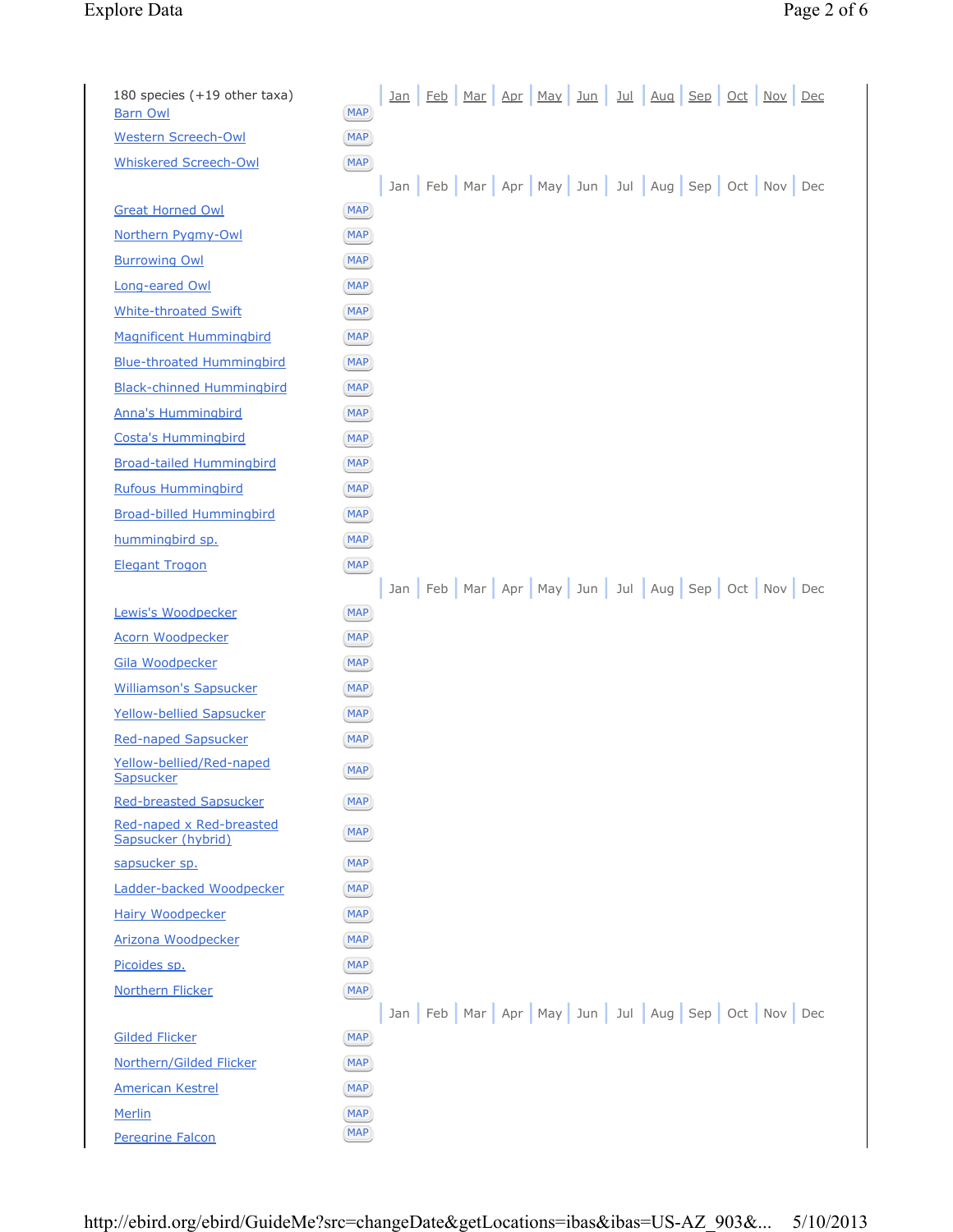## Explore Data Page 2 of 6

| 180 species (+19 other taxa)<br><b>Barn Owl</b> | Feb Mar Apr May Jun<br><u>Jul Aug Sep Oct Nov Dec</u><br><u>Jan</u><br><b>MAP</b> |
|-------------------------------------------------|-----------------------------------------------------------------------------------|
| <b>Western Screech-Owl</b>                      | <b>MAP</b>                                                                        |
| <b>Whiskered Screech-Owl</b>                    | <b>MAP</b>                                                                        |
|                                                 | Jan   Feb   Mar   Apr   May   Jun   Jul   Aug   Sep   Oct   Nov   Dec             |
| <b>Great Horned Owl</b>                         | <b>MAP</b>                                                                        |
| Northern Pygmy-Owl                              | <b>MAP</b>                                                                        |
| <b>Burrowing Owl</b>                            | MAP                                                                               |
| Long-eared Owl                                  | <b>MAP</b>                                                                        |
| <b>White-throated Swift</b>                     | <b>MAP</b>                                                                        |
| <b>Magnificent Hummingbird</b>                  | <b>MAP</b>                                                                        |
| <b>Blue-throated Hummingbird</b>                | MAP                                                                               |
| <b>Black-chinned Hummingbird</b>                | <b>MAP</b>                                                                        |
| <b>Anna's Hummingbird</b>                       | <b>MAP</b>                                                                        |
| <b>Costa's Hummingbird</b>                      | MAP                                                                               |
| <b>Broad-tailed Hummingbird</b>                 | <b>MAP</b>                                                                        |
| <b>Rufous Hummingbird</b>                       | <b>MAP</b>                                                                        |
| <b>Broad-billed Hummingbird</b>                 | <b>MAP</b>                                                                        |
| hummingbird sp.                                 | <b>MAP</b>                                                                        |
| <b>Elegant Trogon</b>                           | <b>MAP</b>                                                                        |
|                                                 | Jan Feb Mar Apr May Jun Jul Aug Sep Oct Nov Dec                                   |
| Lewis's Woodpecker                              | <b>MAP</b>                                                                        |
| <b>Acorn Woodpecker</b>                         | <b>MAP</b>                                                                        |
| <b>Gila Woodpecker</b>                          | <b>MAP</b>                                                                        |
| <b>Williamson's Sapsucker</b>                   | <b>MAP</b>                                                                        |
| Yellow-bellied Sapsucker                        | MAP                                                                               |
| <b>Red-naped Sapsucker</b>                      | <b>MAP</b>                                                                        |
| Yellow-bellied/Red-naped<br>Sapsucker           | (MAP)                                                                             |
| <b>Red-breasted Sapsucker</b>                   | <b>MAP</b>                                                                        |
| Red-naped x Red-breasted<br>Sapsucker (hybrid)  | <b>MAP</b>                                                                        |
| sapsucker sp.                                   | <b>MAP</b>                                                                        |
| Ladder-backed Woodpecker                        | <b>MAP</b>                                                                        |
| Hairy Woodpecker                                | MAP                                                                               |
| Arizona Woodpecker                              | <b>MAP</b>                                                                        |
| Picoides sp.                                    | <b>MAP</b>                                                                        |
| <b>Northern Flicker</b>                         | <b>MAP</b>                                                                        |
|                                                 | Jan Feb Mar Apr May Jun Jul Aug Sep Oct Nov Dec                                   |
| <b>Gilded Flicker</b>                           | <b>MAP</b>                                                                        |
| Northern/Gilded Flicker                         | MAP)                                                                              |
| <b>American Kestrel</b>                         | <b>MAP</b>                                                                        |
| Merlin                                          | <b>MAP</b>                                                                        |
| Peregrine Falcon                                | MAP)                                                                              |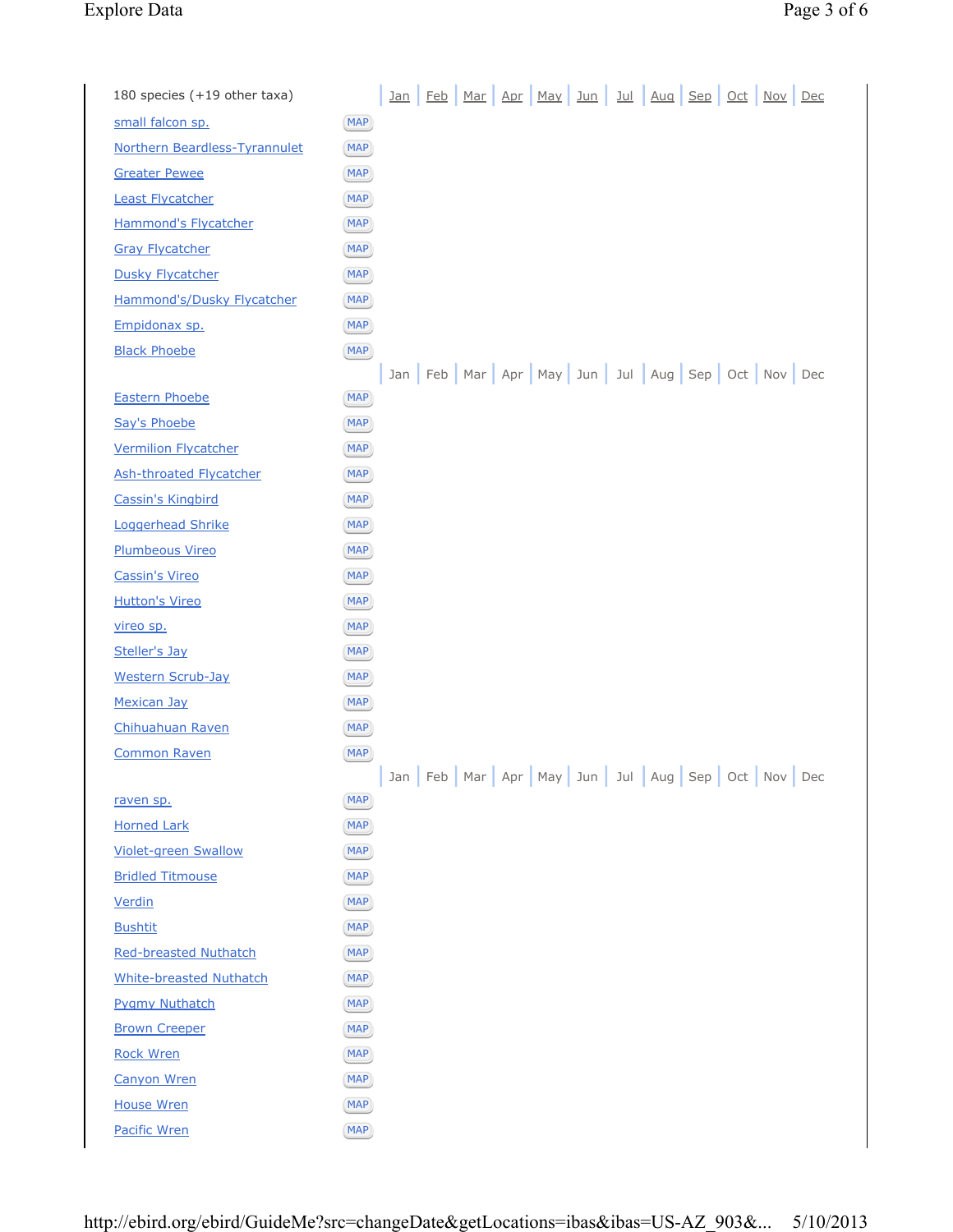## Explore Data

| Page 3 of 6 |  |  |
|-------------|--|--|

| 180 species (+19 other taxa)   | <u>Jan Feb Mar Apr May Jun Jul Aug Sep Oct Nov Dec</u>                |
|--------------------------------|-----------------------------------------------------------------------|
| small falcon sp.               | <b>MAP</b>                                                            |
| Northern Beardless-Tyrannulet  | <b>MAP</b>                                                            |
| <b>Greater Pewee</b>           | <b>MAP</b>                                                            |
| <b>Least Flycatcher</b>        | <b>MAP</b>                                                            |
| <b>Hammond's Flycatcher</b>    | <b>MAP</b>                                                            |
| <b>Gray Flycatcher</b>         | <b>MAP</b>                                                            |
| <b>Dusky Flycatcher</b>        | <b>MAP</b>                                                            |
| Hammond's/Dusky Flycatcher     | <b>MAP</b>                                                            |
| Empidonax sp.                  | <b>MAP</b>                                                            |
| <b>Black Phoebe</b>            | <b>MAP</b>                                                            |
|                                | Jan Feb Mar Apr May Jun Jul Aug Sep Oct Nov Dec                       |
| <b>Eastern Phoebe</b>          | <b>MAP</b>                                                            |
| Say's Phoebe                   | <b>MAP</b>                                                            |
| <b>Vermilion Flycatcher</b>    | <b>MAP</b>                                                            |
| <b>Ash-throated Flycatcher</b> | <b>MAP</b>                                                            |
| <b>Cassin's Kingbird</b>       | <b>MAP</b>                                                            |
| Loggerhead Shrike              | <b>MAP</b>                                                            |
| <b>Plumbeous Vireo</b>         | <b>MAP</b>                                                            |
| <b>Cassin's Vireo</b>          | <b>MAP</b>                                                            |
| <b>Hutton's Vireo</b>          | <b>MAP</b>                                                            |
| vireo sp.                      | <b>MAP</b>                                                            |
| Steller's Jay                  | <b>MAP</b>                                                            |
| <b>Western Scrub-Jay</b>       | <b>MAP</b>                                                            |
| <b>Mexican Jay</b>             | <b>MAP</b>                                                            |
| Chihuahuan Raven               | <b>MAP</b>                                                            |
| <b>Common Raven</b>            | <b>MAP</b>                                                            |
|                                | Jan   Feb   Mar   Apr   May   Jun   Jul   Aug   Sep   Oct   Nov   Dec |
| raven sp.                      | <b>MAP</b>                                                            |
| <b>Horned Lark</b>             | [MAP]                                                                 |
| <b>Violet-green Swallow</b>    | <b>MAP</b>                                                            |
| <b>Bridled Titmouse</b>        | <b>MAP</b>                                                            |
| Verdin                         | <b>MAP</b>                                                            |
| <b>Bushtit</b>                 | <b>MAP</b>                                                            |
| <b>Red-breasted Nuthatch</b>   | <b>MAP</b>                                                            |
| <b>White-breasted Nuthatch</b> | <b>MAP</b>                                                            |
| <b>Pygmy Nuthatch</b>          | <b>MAP</b>                                                            |
| <b>Brown Creeper</b>           | <b>MAP</b>                                                            |
| <b>Rock Wren</b>               | <b>MAP</b>                                                            |
| <b>Canyon Wren</b>             | <b>MAP</b>                                                            |
| <b>House Wren</b>              | <b>MAP</b>                                                            |
| Pacific Wren                   | <b>MAP</b>                                                            |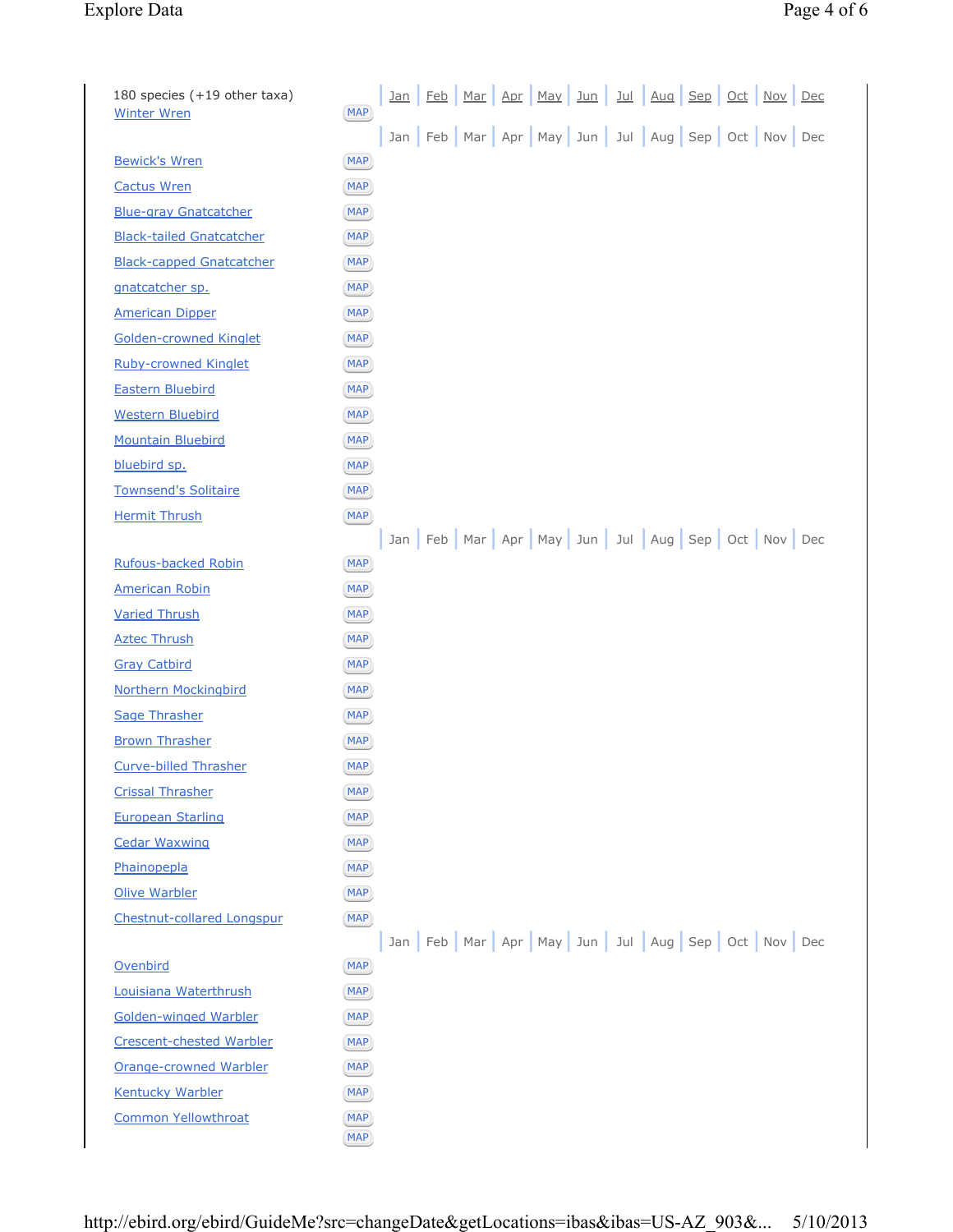## Explore Data Page 4 of 6

| 180 species (+19 other taxa)<br><b>Winter Wren</b> | <b>MAP</b> | <u>Jan</u> | <b>Feb</b> | Mar | Apr | May | Jun | <u>Jul</u> | Aug | Sep | Oct | Nov                                             | Dec |
|----------------------------------------------------|------------|------------|------------|-----|-----|-----|-----|------------|-----|-----|-----|-------------------------------------------------|-----|
|                                                    |            |            |            |     |     |     |     |            |     |     |     | Jan Feb Mar Apr May Jun Jul Aug Sep Oct Nov Dec |     |
| <b>Bewick's Wren</b>                               | [MAP]      |            |            |     |     |     |     |            |     |     |     |                                                 |     |
| <b>Cactus Wren</b>                                 | <b>MAP</b> |            |            |     |     |     |     |            |     |     |     |                                                 |     |
| <b>Blue-gray Gnatcatcher</b>                       | <b>MAP</b> |            |            |     |     |     |     |            |     |     |     |                                                 |     |
| <b>Black-tailed Gnatcatcher</b>                    | <b>MAP</b> |            |            |     |     |     |     |            |     |     |     |                                                 |     |
| <b>Black-capped Gnatcatcher</b>                    | MAP)       |            |            |     |     |     |     |            |     |     |     |                                                 |     |
| gnatcatcher sp.                                    | <b>MAP</b> |            |            |     |     |     |     |            |     |     |     |                                                 |     |
| <b>American Dipper</b>                             | <b>MAP</b> |            |            |     |     |     |     |            |     |     |     |                                                 |     |
| <b>Golden-crowned Kinglet</b>                      | MAP        |            |            |     |     |     |     |            |     |     |     |                                                 |     |
| <b>Ruby-crowned Kinglet</b>                        | <b>MAP</b> |            |            |     |     |     |     |            |     |     |     |                                                 |     |
| <b>Eastern Bluebird</b>                            | <b>MAP</b> |            |            |     |     |     |     |            |     |     |     |                                                 |     |
| <b>Western Bluebird</b>                            | <b>MAP</b> |            |            |     |     |     |     |            |     |     |     |                                                 |     |
| <b>Mountain Bluebird</b>                           | <b>MAP</b> |            |            |     |     |     |     |            |     |     |     |                                                 |     |
| bluebird sp.                                       | <b>MAP</b> |            |            |     |     |     |     |            |     |     |     |                                                 |     |
| <b>Townsend's Solitaire</b>                        | <b>MAP</b> |            |            |     |     |     |     |            |     |     |     |                                                 |     |
| <b>Hermit Thrush</b>                               | [MAP]      |            |            |     |     |     |     |            |     |     |     |                                                 |     |
|                                                    |            |            |            |     |     |     |     |            |     |     |     | Jan Feb Mar Apr May Jun Jul Aug Sep Oct Nov Dec |     |
| <b>Rufous-backed Robin</b>                         | MAP)       |            |            |     |     |     |     |            |     |     |     |                                                 |     |
| <b>American Robin</b>                              | <b>MAP</b> |            |            |     |     |     |     |            |     |     |     |                                                 |     |
| <b>Varied Thrush</b>                               | <b>MAP</b> |            |            |     |     |     |     |            |     |     |     |                                                 |     |
| <b>Aztec Thrush</b>                                | <b>MAP</b> |            |            |     |     |     |     |            |     |     |     |                                                 |     |
| <b>Gray Catbird</b>                                | MAP)       |            |            |     |     |     |     |            |     |     |     |                                                 |     |
| <b>Northern Mockingbird</b>                        | <b>MAP</b> |            |            |     |     |     |     |            |     |     |     |                                                 |     |
| Sage Thrasher                                      | <b>MAP</b> |            |            |     |     |     |     |            |     |     |     |                                                 |     |
| <b>Brown Thrasher</b>                              | <b>MAP</b> |            |            |     |     |     |     |            |     |     |     |                                                 |     |
| <b>Curve-billed Thrasher</b>                       | <b>MAP</b> |            |            |     |     |     |     |            |     |     |     |                                                 |     |
| <b>Crissal Thrasher</b>                            | <b>MAP</b> |            |            |     |     |     |     |            |     |     |     |                                                 |     |
| <b>European Starling</b>                           | <b>MAP</b> |            |            |     |     |     |     |            |     |     |     |                                                 |     |
| <b>Cedar Waxwing</b>                               | <b>MAP</b> |            |            |     |     |     |     |            |     |     |     |                                                 |     |
| Phainopepla                                        | MAP)       |            |            |     |     |     |     |            |     |     |     |                                                 |     |
| <b>Olive Warbler</b>                               | <b>MAP</b> |            |            |     |     |     |     |            |     |     |     |                                                 |     |
| Chestnut-collared Longspur                         | <b>MAP</b> |            |            |     |     |     |     |            |     |     |     |                                                 |     |
|                                                    |            |            |            |     |     |     |     |            |     |     |     | Jan Feb Mar Apr May Jun Jul Aug Sep Oct Nov Dec |     |
| Ovenbird                                           | [MAP]      |            |            |     |     |     |     |            |     |     |     |                                                 |     |
| Louisiana Waterthrush                              | MAP)       |            |            |     |     |     |     |            |     |     |     |                                                 |     |
| <b>Golden-winged Warbler</b>                       | MAP)       |            |            |     |     |     |     |            |     |     |     |                                                 |     |
| <b>Crescent-chested Warbler</b>                    | <b>MAP</b> |            |            |     |     |     |     |            |     |     |     |                                                 |     |
| <b>Orange-crowned Warbler</b>                      | <b>MAP</b> |            |            |     |     |     |     |            |     |     |     |                                                 |     |
| <b>Kentucky Warbler</b>                            | <b>MAP</b> |            |            |     |     |     |     |            |     |     |     |                                                 |     |
| <b>Common Yellowthroat</b>                         | <b>MAP</b> |            |            |     |     |     |     |            |     |     |     |                                                 |     |
|                                                    | <b>MAP</b> |            |            |     |     |     |     |            |     |     |     |                                                 |     |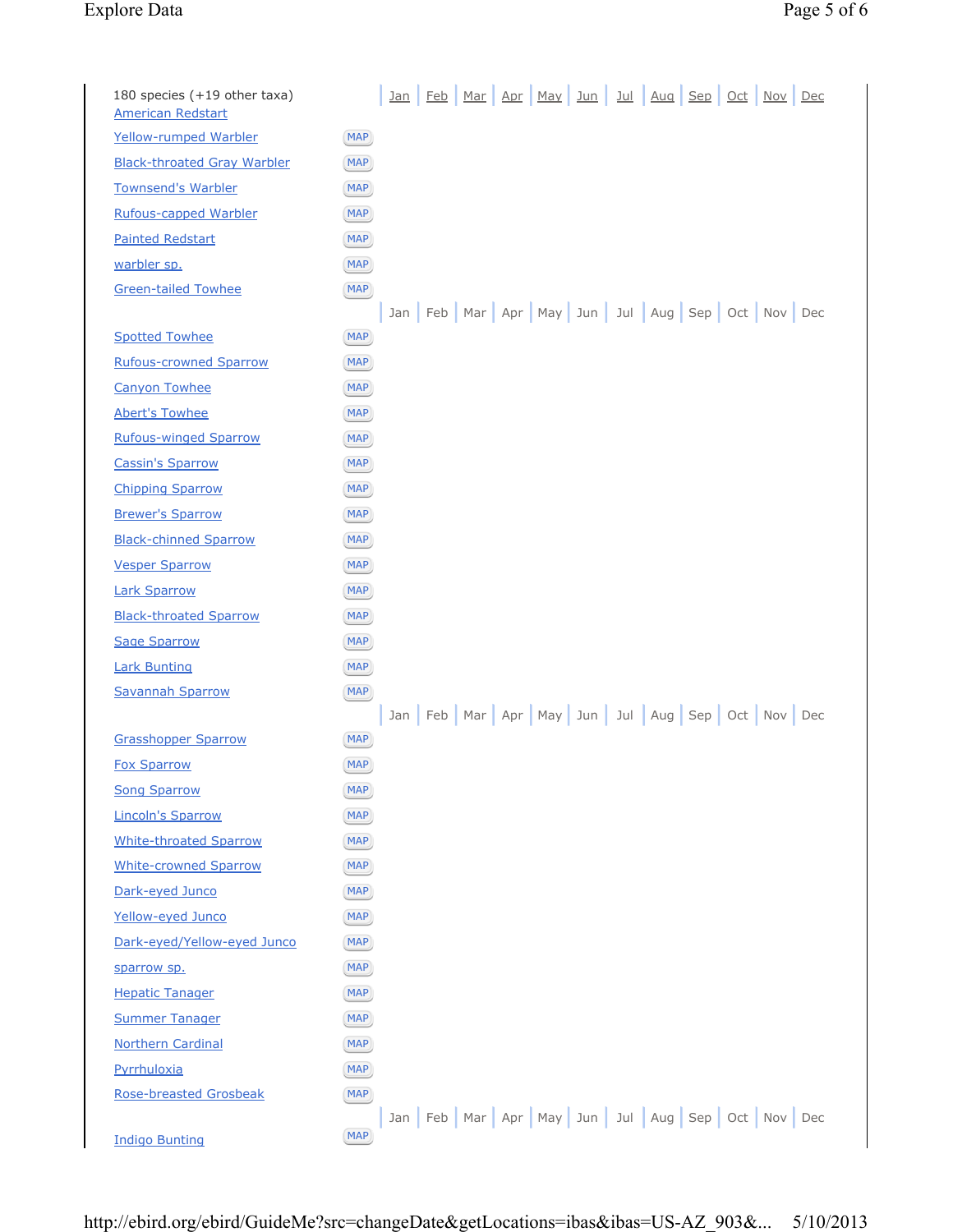## Explore Data Page 5 of 6

| 180 species (+19 other taxa)<br><b>American Redstart</b> | Jan Feb Mar Apr May Jun Jul Aug Sep Oct Nov Dec |
|----------------------------------------------------------|-------------------------------------------------|
| Yellow-rumped Warbler                                    | MAP                                             |
| <b>Black-throated Gray Warbler</b>                       | <b>MAP</b>                                      |
| <b>Townsend's Warbler</b>                                | <b>MAP</b>                                      |
| <b>Rufous-capped Warbler</b>                             | <b>MAP</b>                                      |
| <b>Painted Redstart</b>                                  | <b>MAP</b>                                      |
| warbler sp.                                              | <b>MAP</b>                                      |
| <b>Green-tailed Towhee</b>                               | <b>MAP</b>                                      |
|                                                          | Jan Feb Mar Apr May Jun Jul Aug Sep Oct Nov Dec |
| <b>Spotted Towhee</b>                                    | <b>MAP</b>                                      |
| <b>Rufous-crowned Sparrow</b>                            | <b>MAP</b>                                      |
| <b>Canyon Towhee</b>                                     | <b>MAP</b>                                      |
| <b>Abert's Towhee</b>                                    | <b>MAP</b>                                      |
| <b>Rufous-winged Sparrow</b>                             | <b>MAP</b>                                      |
| <b>Cassin's Sparrow</b>                                  | <b>MAP</b>                                      |
| <b>Chipping Sparrow</b>                                  | <b>MAP</b>                                      |
| <b>Brewer's Sparrow</b>                                  | <b>MAP</b>                                      |
| <b>Black-chinned Sparrow</b>                             | <b>MAP</b>                                      |
| <b>Vesper Sparrow</b>                                    | <b>MAP</b>                                      |
| <b>Lark Sparrow</b>                                      | <b>MAP</b>                                      |
| <b>Black-throated Sparrow</b>                            | <b>MAP</b>                                      |
| <b>Sage Sparrow</b>                                      | <b>MAP</b>                                      |
| <b>Lark Bunting</b>                                      | <b>MAP</b>                                      |
| <b>Savannah Sparrow</b>                                  | <b>MAP</b>                                      |
|                                                          | Jan Feb Mar Apr May Jun Jul Aug Sep Oct Nov Dec |
| <b>Grasshopper Sparrow</b>                               | <b>MAP</b>                                      |
| <b>Fox Sparrow</b>                                       | (MAP)                                           |
| <b>Song Sparrow</b>                                      | <b>MAP</b>                                      |
| <b>Lincoln's Sparrow</b>                                 | <b>MAP</b>                                      |
| <b>White-throated Sparrow</b>                            | <b>MAP</b>                                      |
| <b>White-crowned Sparrow</b>                             | <b>MAP</b>                                      |
| Dark-eyed Junco                                          | <b>MAP</b>                                      |
| Yellow-eyed Junco                                        | <b>MAP</b>                                      |
| Dark-eyed/Yellow-eyed Junco                              | <b>MAP</b>                                      |
| sparrow sp.                                              | <b>MAP</b>                                      |
| <b>Hepatic Tanager</b>                                   | <b>MAP</b>                                      |
| <b>Summer Tanager</b>                                    | <b>MAP</b>                                      |
| <b>Northern Cardinal</b>                                 | <b>MAP</b>                                      |
| Pyrrhuloxia                                              | <b>MAP</b>                                      |
| <b>Rose-breasted Grosbeak</b>                            | <b>MAP</b>                                      |
|                                                          | Jan Feb Mar Apr May Jun Jul Aug Sep Oct Nov Dec |
| <b>Indigo Bunting</b>                                    | <b>MAP</b>                                      |